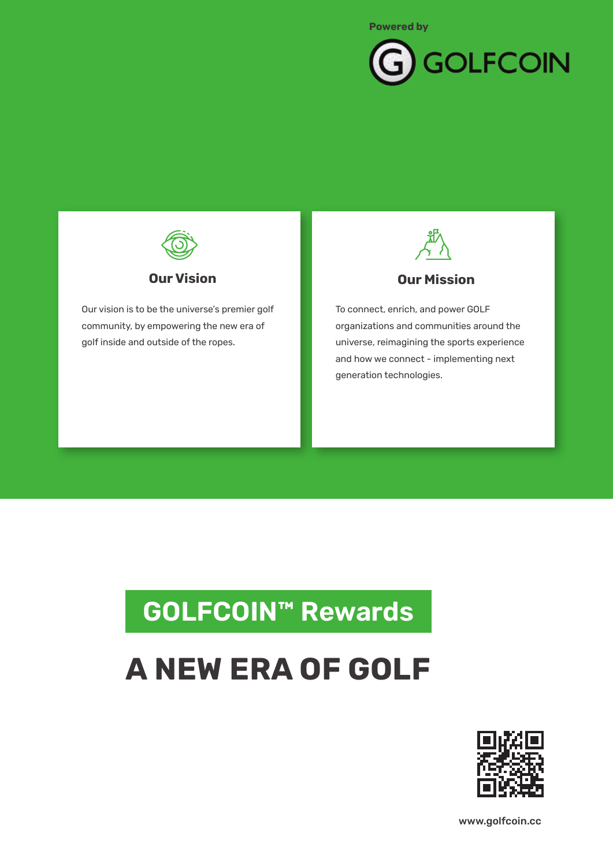



Our vision is to be the universe's premier golf community, by empowering the new era of golf inside and outside of the ropes.



**Our Mission**

To connect, enrich, and power GOLF organizations and communities around the universe, reimagining the sports experience and how we connect - implementing next generation technologies.

## **LOREM IPSUM GOLFCOIN™ Rewards**

# **A NEW ERA OF GOLF**



www.golfcoin.cc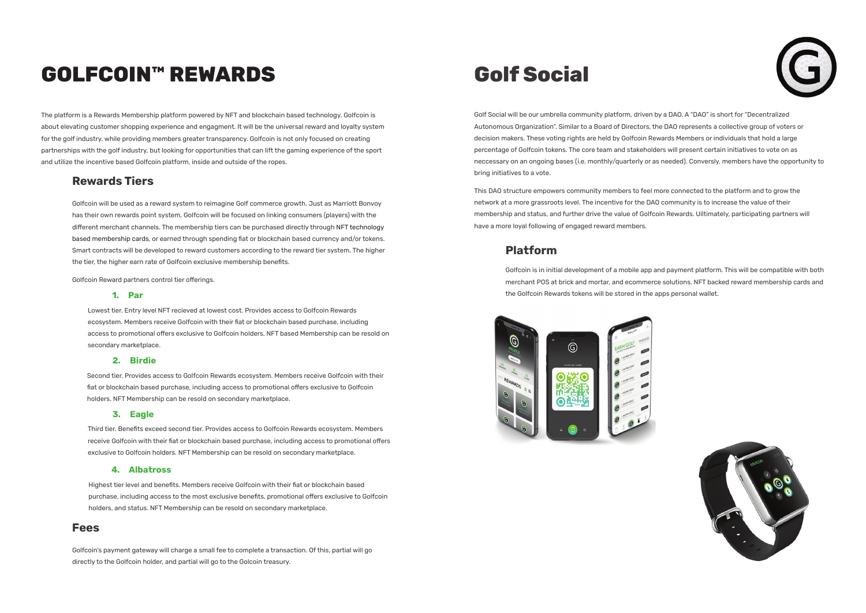The platform is a Rewards Membership platform powered by NFT and blockchain based technology. Golfcoin is about elevating customer shopping experience and engagment. It will be the universal reward and loyalty system for the golf industry, while providing members greater transparency. Golfcoin is not only focused on creating partnerships with the golf industry, but looking for opportunities that can lift the gaming experience of the sport and utilize the incentive based Golfcoin platform, inside and outside of the ropes.

Golf Social will be our umbrella community platform, driven by a DAO. A "DAO" is short for "Decentralized Autonomous Organization". Similar to a Board of Directors, the DAO represents a collective group of voters or decision makers. These voting rights are held by Golfcoin Rewards Members or individuals that hold a large percentage of Golfcoin tokens. The core team and stakeholders will present certain initiatives to vote on as neccessary on an ongoing bases (i.e. monthly/quarterly or as needed). Conversly, members have the opportunity to bring initiatives to a vote.

This DAO structure empowers community members to feel more connected to the platform and to grow the network at a more grassroots level. The incentive for the DAO community is to increase the value of their membership and status, and further drive the value of Golfcoin Rewards. Uiltimately, participating partners will have a more loyal following of engaged reward members.

## **GOLFCOIN™ REWARDS**

Golfcoin will be used as a reward system to reimagine Golf commerce growth. Just as Marriott Bonvoy has their own rewards point system, Golfcoin will be focused on linking consumers (players) with the different merchant channels. The membership tiers can be purchased directly through NFT technology based membership cards, or earned through spending fiat or blockchain based currency and/or tokens. Smart contracts will be developed to reward customers according to the reward tier system. The higher the tier, the higher earn rate of Golfcoin exclusive membership benefits.

Golfcoin Reward partners control tier offerings.

Golfcoin's payment gateway will charge a small fee to complete a transaction. Of this, partial will go directly to the Golfcoin holder, and partial will go to the Golcoin treasury.

Lowest tier. Entry level NFT recieved at lowest cost. Provides access to Golfcoin Rewards ecosystem. Members receive Golfcoin with their fiat or blockchain based purchase, including access to promotional offers exclusive to Golfcoin holders. NFT based Membership can be resold on secondary marketplace.

Second tier. Provides access to Golfcoin Rewards ecosystem. Members receive Golfcoin with their fiat or blockchain based purchase, including access to promotional offers exclusive to Golfcoin holders. NFT Membership can be resold on secondary marketplace.

Third tier. Benefits exceed second tier. Provides access to Golfcoin Rewards ecosystem. Members receive Golfcoin with their fiat or blockchain based purchase, including access to promotional offers exclusive to Golfcoin holders. NFT Membership can be resold on secondary marketplace.

#### **1. Par**

#### **2. Birdie**

#### **3. Eagle**

### **Rewards Tiers**

Golfcoin is in initial development of a mobile app and payment platform. This will be compatible with both merchant POS at brick and mortar, and ecommerce solutions. NFT backed reward membership cards and the Golfcoin Rewards tokens will be stored in the apps personal wallet.







### **Platform**

#### **Fees**

## **Golf Social**

Highest tier level and benefits. Members receive Golfcoin with their fiat or blockchain based purchase, including access to the most exclusive benefits, promotional offers exclusive to Golfcoin holders, and status. NFT Membership can be resold on secondary marketplace.

#### **4. Albatross**